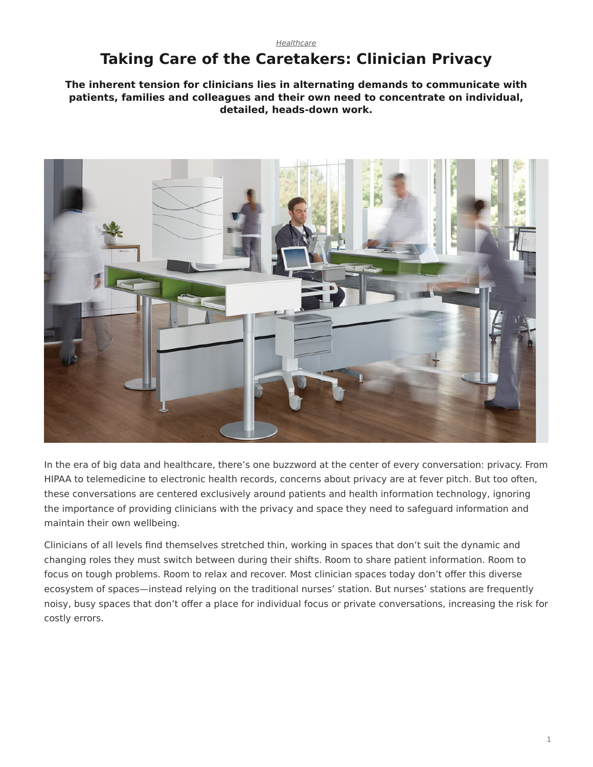#### *[Healthcare](https://www.steelcase.com/research/topics/healthcare/)*

# <span id="page-0-0"></span>**Taking Care of the Caretakers: Clinician Privacy**

**The inherent tension for clinicians lies in alternating demands to communicate with patients, families and colleagues and their own need to concentrate on individual, detailed, heads-down work.**



In the era of big data and healthcare, there's one buzzword at the center of every conversation: privacy. From HIPAA to telemedicine to electronic health records, concerns about privacy are at fever pitch. But too often, these conversations are centered exclusively around patients and health information technology, ignoring the importance of providing clinicians with the privacy and space they need to safeguard information and maintain their own wellbeing.

Clinicians of all levels find themselves stretched thin, working in spaces that don't suit the dynamic and changing roles they must switch between during their shifts. Room to share patient information. Room to focus on tough problems. Room to relax and recover. Most clinician spaces today don't offer this diverse ecosystem of spaces—instead relying on the traditional nurses' station. But nurses' stations are frequently noisy, busy spaces that don't offer a place for individual focus or private conversations, increasing the risk for costly errors.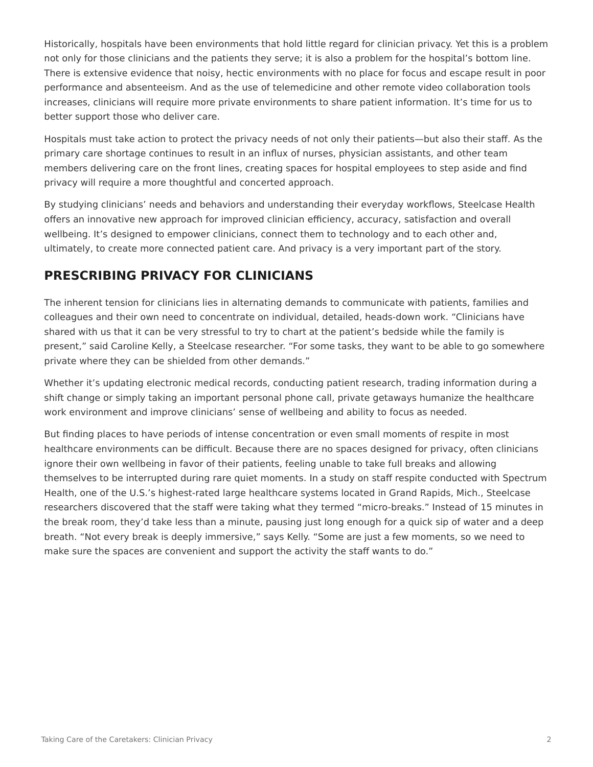Historically, hospitals have been environments that hold little regard for clinician privacy. Yet this is a problem not only for those clinicians and the patients they serve; it is also a problem for the hospital's bottom line. There is extensive evidence that noisy, hectic environments with no place for focus and escape result in poor performance and absenteeism. And as the use of telemedicine and other remote video collaboration tools increases, clinicians will require more private environments to share patient information. It's time for us to better support those who deliver care.

Hospitals must take action to protect the privacy needs of not only their patients—but also their staff. As the primary care shortage continues to result in an influx of nurses, physician assistants, and other team members delivering care on the front lines, creating spaces for hospital employees to step aside and find privacy will require a more thoughtful and concerted approach.

By studying clinicians' needs and behaviors and understanding their everyday workflows, Steelcase Health offers an innovative new approach for improved clinician efficiency, accuracy, satisfaction and overall wellbeing. It's designed to empower clinicians, connect them to technology and to each other and, ultimately, to create more connected patient care. And privacy is a very important part of the story.

## **PRESCRIBING PRIVACY FOR CLINICIANS**

The inherent tension for clinicians lies in alternating demands to communicate with patients, families and colleagues and their own need to concentrate on individual, detailed, heads-down work. "Clinicians have shared with us that it can be very stressful to try to chart at the patient's bedside while the family is present," said Caroline Kelly, a Steelcase researcher. "For some tasks, they want to be able to go somewhere private where they can be shielded from other demands."

Whether it's updating electronic medical records, conducting patient research, trading information during a shift change or simply taking an important personal phone call, private getaways humanize the healthcare work environment and improve clinicians' sense of wellbeing and ability to focus as needed.

But finding places to have periods of intense concentration or even small moments of respite in most healthcare environments can be difficult. Because there are no spaces designed for privacy, often clinicians ignore their own wellbeing in favor of their patients, feeling unable to take full breaks and allowing themselves to be interrupted during rare quiet moments. In a study on staff respite conducted with Spectrum Health, one of the U.S.'s highest-rated large healthcare systems located in Grand Rapids, Mich., Steelcase researchers discovered that the staff were taking what they termed "micro-breaks." Instead of 15 minutes in the break room, they'd take less than a minute, pausing just long enough for a quick sip of water and a deep breath. "Not every break is deeply immersive," says Kelly. "Some are just a few moments, so we need to make sure the spaces are convenient and support the activity the staff wants to do."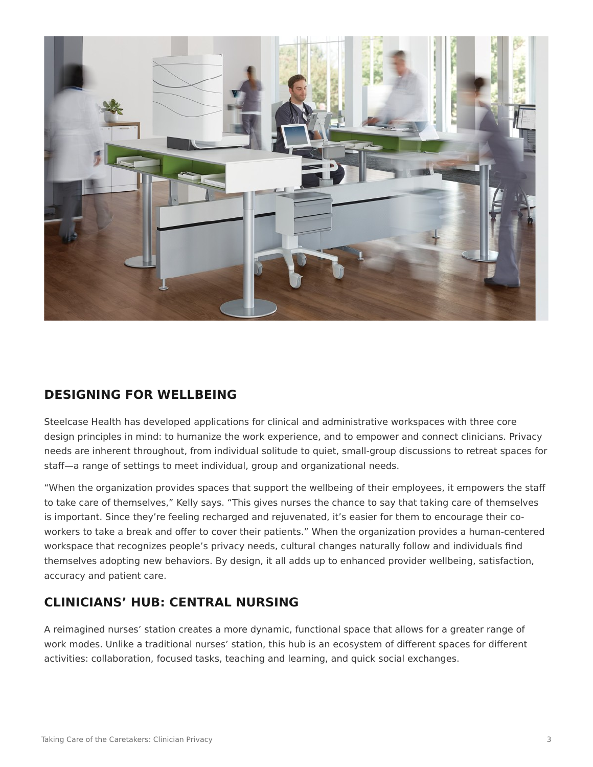

## **DESIGNING FOR WELLBEING**

Steelcase Health has developed applications for clinical and administrative workspaces with three core design principles in mind: to humanize the work experience, and to empower and connect clinicians. Privacy needs are inherent throughout, from individual solitude to quiet, small-group discussions to retreat spaces for staff—a range of settings to meet individual, group and organizational needs.

"When the organization provides spaces that support the wellbeing of their employees, it empowers the staff to take care of themselves," Kelly says. "This gives nurses the chance to say that taking care of themselves is important. Since they're feeling recharged and rejuvenated, it's easier for them to encourage their coworkers to take a break and offer to cover their patients." When the organization provides a human-centered workspace that recognizes people's privacy needs, cultural changes naturally follow and individuals find themselves adopting new behaviors. By design, it all adds up to enhanced provider wellbeing, satisfaction, accuracy and patient care.

## **CLINICIANS' HUB: CENTRAL NURSING**

A reimagined nurses' station creates a more dynamic, functional space that allows for a greater range of work modes. Unlike a traditional nurses' station, this hub is an ecosystem of different spaces for different activities: collaboration, focused tasks, teaching and learning, and quick social exchanges.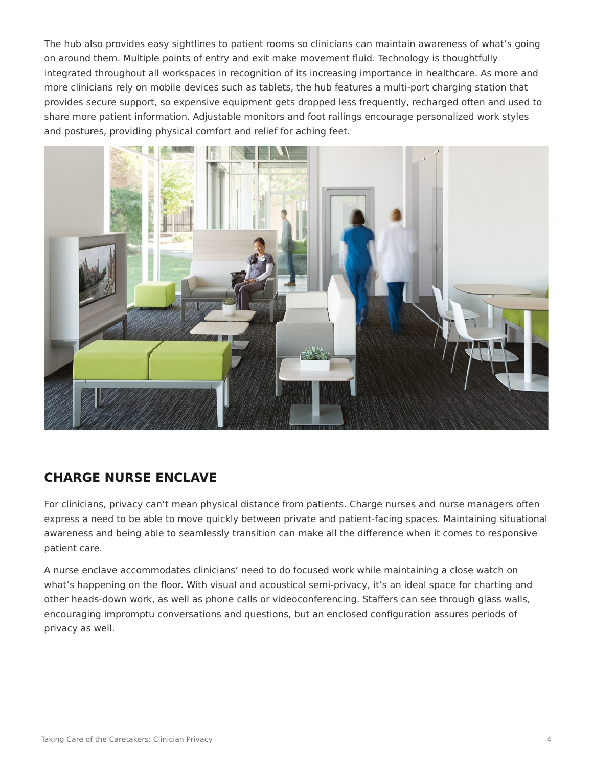The hub also provides easy sightlines to patient rooms so clinicians can maintain awareness of what's going on around them. Multiple points of entry and exit make movement fluid. Technology is thoughtfully integrated throughout all workspaces in recognition of its increasing importance in healthcare. As more and more clinicians rely on mobile devices such as tablets, the hub features a multi-port charging station that provides secure support, so expensive equipment gets dropped less frequently, recharged often and used to share more patient information. Adjustable monitors and foot railings encourage personalized work styles and postures, providing physical comfort and relief for aching feet.



## **CHARGE NURSE ENCLAVE**

For clinicians, privacy can't mean physical distance from patients. Charge nurses and nurse managers often express a need to be able to move quickly between private and patient-facing spaces. Maintaining situational awareness and being able to seamlessly transition can make all the difference when it comes to responsive patient care.

A nurse enclave accommodates clinicians' need to do focused work while maintaining a close watch on what's happening on the floor. With visual and acoustical semi-privacy, it's an ideal space for charting and other heads-down work, as well as phone calls or videoconferencing. Staffers can see through glass walls, encouraging impromptu conversations and questions, but an enclosed configuration assures periods of privacy as well.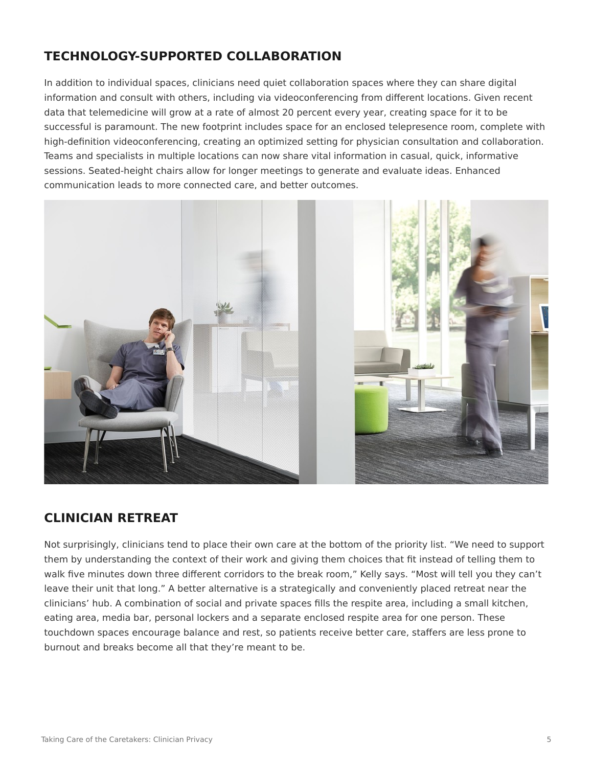## **TECHNOLOGY-SUPPORTED COLLABORATION**

In addition to individual spaces, clinicians need quiet collaboration spaces where they can share digital information and consult with others, including via videoconferencing from different locations. Given recent data that telemedicine will grow at a rate of almost 20 percent every year, creating space for it to be successful is paramount. The new footprint includes space for an enclosed telepresence room, complete with high-definition videoconferencing, creating an optimized setting for physician consultation and collaboration. Teams and specialists in multiple locations can now share vital information in casual, quick, informative sessions. Seated-height chairs allow for longer meetings to generate and evaluate ideas. Enhanced communication leads to more connected care, and better outcomes.



#### **CLINICIAN RETREAT**

Not surprisingly, clinicians tend to place their own care at the bottom of the priority list. "We need to support them by understanding the context of their work and giving them choices that fit instead of telling them to walk five minutes down three different corridors to the break room," Kelly says. "Most will tell you they can't leave their unit that long." A better alternative is a strategically and conveniently placed retreat near the clinicians' hub. A combination of social and private spaces fills the respite area, including a small kitchen, eating area, media bar, personal lockers and a separate enclosed respite area for one person. These touchdown spaces encourage balance and rest, so patients receive better care, staffers are less prone to burnout and breaks become all that they're meant to be.